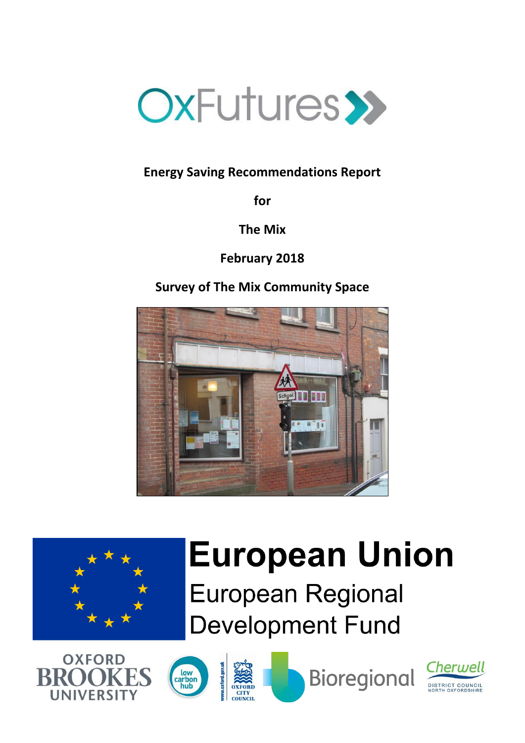

# **Energy Saving Recommendations Report**

**for**

**The Mix**

**February 2018**

**Survey of The Mix Community Space**





# **European Union**

**European Regional Development Fund** 









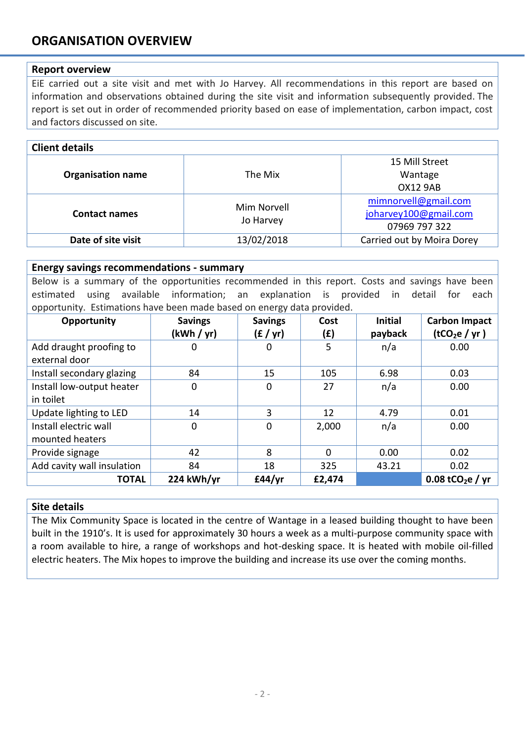# **ORGANISATION OVERVIEW**

## **Report overview**

EiE carried out a site visit and met with Jo Harvey. All recommendations in this report are based on information and observations obtained during the site visit and information subsequently provided. The report is set out in order of recommended priority based on ease of implementation, carbon impact, cost and factors discussed on site.

| <b>Client details</b>    |                          |                            |  |
|--------------------------|--------------------------|----------------------------|--|
|                          |                          | 15 Mill Street             |  |
| <b>Organisation name</b> | The Mix                  | Wantage                    |  |
|                          |                          | <b>OX12 9AB</b>            |  |
| <b>Contact names</b>     | Mim Norvell<br>Jo Harvey | mimnorvell@gmail.com       |  |
|                          |                          | joharvey100@gmail.com      |  |
|                          |                          | 07969 797 322              |  |
| Date of site visit       | 13/02/2018               | Carried out by Moira Dorey |  |

#### **Energy savings recommendations - summary**

Below is a summary of the opportunities recommended in this report. Costs and savings have been estimated using available information; an explanation is provided in detail for each opportunity. Estimations have been made based on energy data provided.

| Opportunity                | <b>Savings</b><br>(kWh / yr) | <b>Savings</b><br>(f / yr) | Cost<br>(£) | <b>Initial</b><br>payback | <b>Carbon Impact</b><br>(tCO <sub>2</sub> e / yr) |
|----------------------------|------------------------------|----------------------------|-------------|---------------------------|---------------------------------------------------|
| Add draught proofing to    | 0                            | 0                          | 5           | n/a                       | 0.00                                              |
| external door              |                              |                            |             |                           |                                                   |
| Install secondary glazing  | 84                           | 15                         | 105         | 6.98                      | 0.03                                              |
| Install low-output heater  | 0                            | $\mathbf 0$                | 27          | n/a                       | 0.00                                              |
| in toilet                  |                              |                            |             |                           |                                                   |
| Update lighting to LED     | 14                           | 3                          | 12          | 4.79                      | 0.01                                              |
| Install electric wall      | $\mathbf 0$                  | $\mathbf 0$                | 2,000       | n/a                       | 0.00                                              |
| mounted heaters            |                              |                            |             |                           |                                                   |
| Provide signage            | 42                           | 8                          | $\Omega$    | 0.00                      | 0.02                                              |
| Add cavity wall insulation | 84                           | 18                         | 325         | 43.21                     | 0.02                                              |
| <b>TOTAL</b>               | 224 kWh/yr                   | £44/yr                     | £2,474      |                           | 0.08 tCO <sub>2</sub> e / yr                      |

#### **Site details**

The Mix Community Space is located in the centre of Wantage in a leased building thought to have been built in the 1910's. It is used for approximately 30 hours a week as a multi-purpose community space with a room available to hire, a range of workshops and hot-desking space. It is heated with mobile oil-filled electric heaters. The Mix hopes to improve the building and increase its use over the coming months.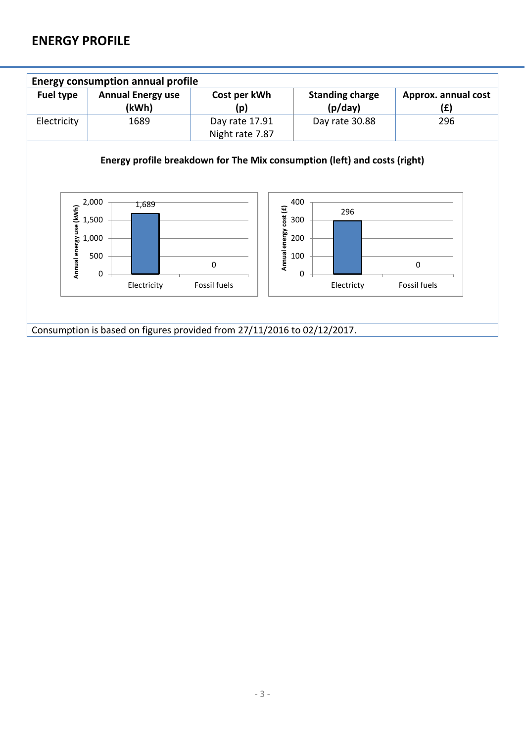# **ENERGY PROFILE**

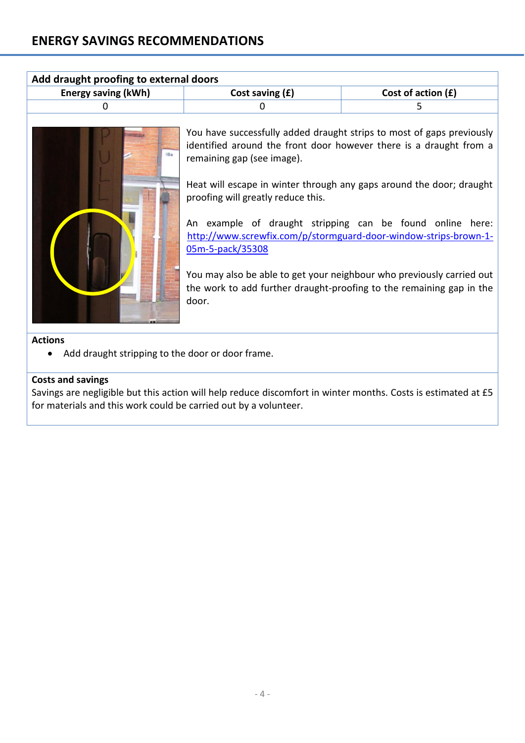| Add draught proofing to external doors |                   |                      |  |
|----------------------------------------|-------------------|----------------------|--|
| <b>Energy saving (kWh)</b>             | Cost saving $(f)$ | Cost of action $(f)$ |  |
|                                        |                   |                      |  |
|                                        |                   |                      |  |



You have successfully added draught strips to most of gaps previously identified around the front door however there is a draught from a remaining gap (see image).

Heat will escape in winter through any gaps around the door; draught proofing will greatly reduce this.

An example of draught stripping can be found online here: [http://www.screwfix.com/p/stormguard-door-window-strips-brown-1-](http://www.screwfix.com/p/stormguard-door-window-strips-brown-1-05m-5-pack/35308) [05m-5-pack/35308](http://www.screwfix.com/p/stormguard-door-window-strips-brown-1-05m-5-pack/35308)

You may also be able to get your neighbour who previously carried out the work to add further draught-proofing to the remaining gap in the door.

## **Actions**

Add draught stripping to the door or door frame.

# **Costs and savings**

Savings are negligible but this action will help reduce discomfort in winter months. Costs is estimated at £5 for materials and this work could be carried out by a volunteer.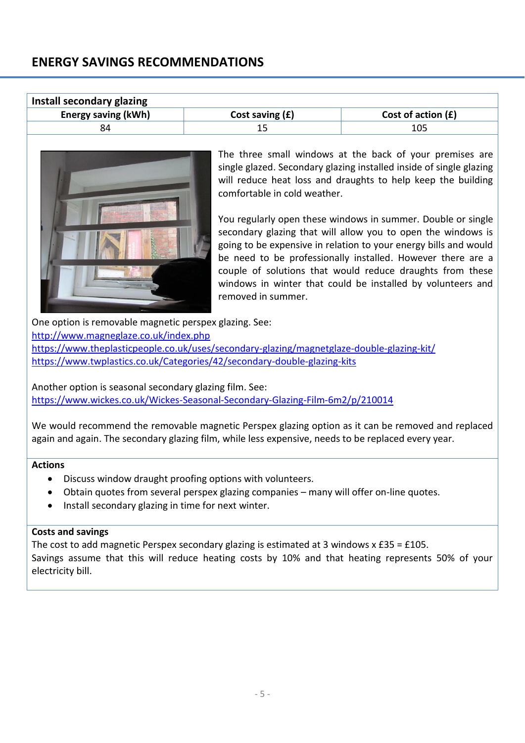| Install secondary glazing                              |                                                                                           |                                                                                                                                                                                                                                                                                                                                                                                                                                                                                                                                                                                                |  |
|--------------------------------------------------------|-------------------------------------------------------------------------------------------|------------------------------------------------------------------------------------------------------------------------------------------------------------------------------------------------------------------------------------------------------------------------------------------------------------------------------------------------------------------------------------------------------------------------------------------------------------------------------------------------------------------------------------------------------------------------------------------------|--|
| <b>Energy saving (kWh)</b>                             | Cost saving $(f)$                                                                         | Cost of action (£)                                                                                                                                                                                                                                                                                                                                                                                                                                                                                                                                                                             |  |
| 84                                                     | 15                                                                                        | 105                                                                                                                                                                                                                                                                                                                                                                                                                                                                                                                                                                                            |  |
|                                                        | comfortable in cold weather.<br>removed in summer.                                        | The three small windows at the back of your premises are<br>single glazed. Secondary glazing installed inside of single glazing<br>will reduce heat loss and draughts to help keep the building<br>You regularly open these windows in summer. Double or single<br>secondary glazing that will allow you to open the windows is<br>going to be expensive in relation to your energy bills and would<br>be need to be professionally installed. However there are a<br>couple of solutions that would reduce draughts from these<br>windows in winter that could be installed by volunteers and |  |
| One option is removable magnetic perspex glazing. See: |                                                                                           |                                                                                                                                                                                                                                                                                                                                                                                                                                                                                                                                                                                                |  |
| http://www.magneglaze.co.uk/index.php                  |                                                                                           |                                                                                                                                                                                                                                                                                                                                                                                                                                                                                                                                                                                                |  |
|                                                        | https://www.theplasticpeople.co.uk/uses/secondary-glazing/magnetglaze-double-glazing-kit/ |                                                                                                                                                                                                                                                                                                                                                                                                                                                                                                                                                                                                |  |
|                                                        | https://www.twplastics.co.uk/Categories/42/secondary-double-glazing-kits                  |                                                                                                                                                                                                                                                                                                                                                                                                                                                                                                                                                                                                |  |

Another option is seasonal secondary glazing film. See: <https://www.wickes.co.uk/Wickes-Seasonal-Secondary-Glazing-Film-6m2/p/210014>

We would recommend the removable magnetic Perspex glazing option as it can be removed and replaced again and again. The secondary glazing film, while less expensive, needs to be replaced every year.

## **Actions**

- Discuss window draught proofing options with volunteers.
- Obtain quotes from several perspex glazing companies many will offer on-line quotes.
- Install secondary glazing in time for next winter.

## **Costs and savings**

The cost to add magnetic Perspex secondary glazing is estimated at 3 windows  $x \text{ f35} = \text{f105}$ . Savings assume that this will reduce heating costs by 10% and that heating represents 50% of your electricity bill.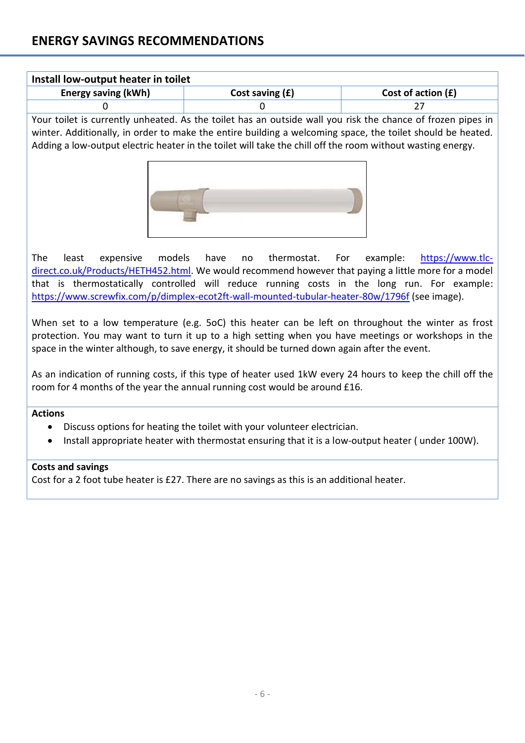| Install low-output heater in toilet |                   |                      |  |
|-------------------------------------|-------------------|----------------------|--|
| <b>Energy saving (kWh)</b>          | Cost saving $(f)$ | Cost of action $(f)$ |  |
|                                     |                   |                      |  |

Your toilet is currently unheated. As the toilet has an outside wall you risk the chance of frozen pipes in winter. Additionally, in order to make the entire building a welcoming space, the toilet should be heated. Adding a low-output electric heater in the toilet will take the chill off the room without wasting energy.



The least expensive models have no thermostat. For example: [https://www.tlc](https://www.tlc-direct.co.uk/Products/HETH452.html)[direct.co.uk/Products/HETH452.html.](https://www.tlc-direct.co.uk/Products/HETH452.html) We would recommend however that paying a little more for a model that is thermostatically controlled will reduce running costs in the long run. For example: <https://www.screwfix.com/p/dimplex-ecot2ft-wall-mounted-tubular-heater-80w/1796f> (see image).

When set to a low temperature (e.g. 5oC) this heater can be left on throughout the winter as frost protection. You may want to turn it up to a high setting when you have meetings or workshops in the space in the winter although, to save energy, it should be turned down again after the event.

As an indication of running costs, if this type of heater used 1kW every 24 hours to keep the chill off the room for 4 months of the year the annual running cost would be around £16.

#### **Actions**

- Discuss options for heating the toilet with your volunteer electrician.
- Install appropriate heater with thermostat ensuring that it is a low-output heater (under 100W).

#### **Costs and savings**

Cost for a 2 foot tube heater is £27. There are no savings as this is an additional heater.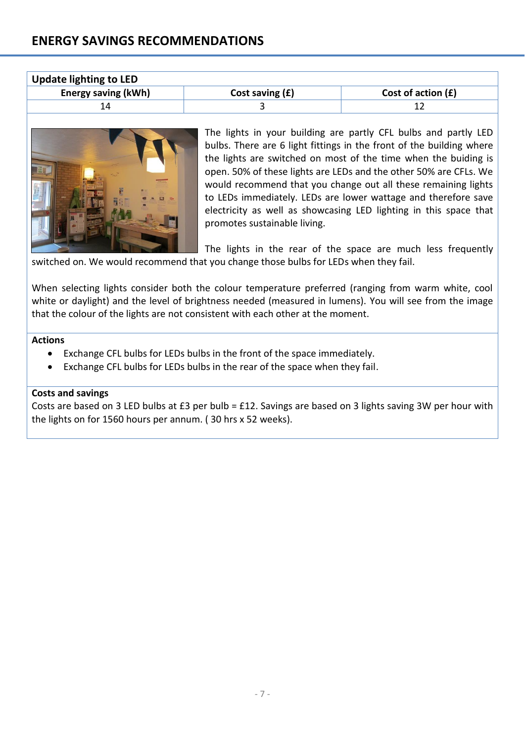| <b>Update lighting to LED</b> |                   |                      |  |
|-------------------------------|-------------------|----------------------|--|
| Energy saving (kWh)           | Cost saving $(f)$ | Cost of action $(f)$ |  |
|                               |                   |                      |  |



The lights in your building are partly CFL bulbs and partly LED bulbs. There are 6 light fittings in the front of the building where the lights are switched on most of the time when the buiding is open. 50% of these lights are LEDs and the other 50% are CFLs. We would recommend that you change out all these remaining lights to LEDs immediately. LEDs are lower wattage and therefore save electricity as well as showcasing LED lighting in this space that promotes sustainable living.

The lights in the rear of the space are much less frequently switched on. We would recommend that you change those bulbs for LEDs when they fail.

When selecting lights consider both the colour temperature preferred (ranging from warm white, cool white or daylight) and the level of brightness needed (measured in lumens). You will see from the image that the colour of the lights are not consistent with each other at the moment.

#### **Actions**

- Exchange CFL bulbs for LEDs bulbs in the front of the space immediately.
- Exchange CFL bulbs for LEDs bulbs in the rear of the space when they fail.

#### **Costs and savings**

Costs are based on 3 LED bulbs at £3 per bulb = £12. Savings are based on 3 lights saving 3W per hour with the lights on for 1560 hours per annum. ( 30 hrs x 52 weeks).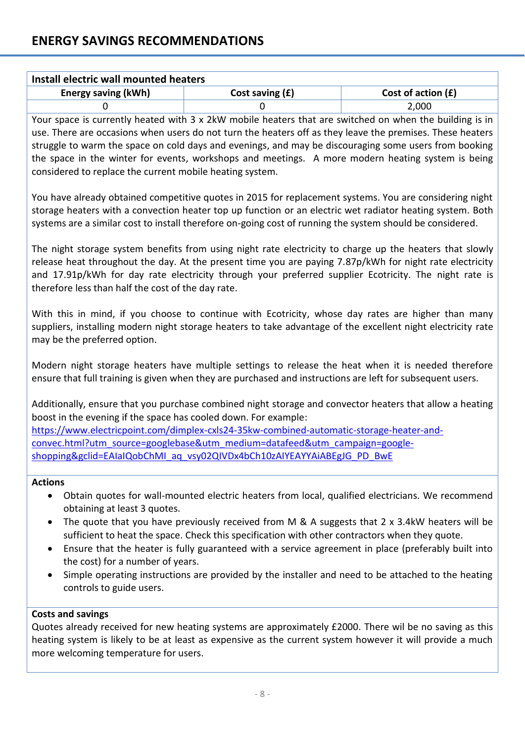| Install electric wall mounted heaters |                   |                      |  |
|---------------------------------------|-------------------|----------------------|--|
| Energy saving (kWh)                   | Cost saving $(f)$ | Cost of action $(f)$ |  |
|                                       |                   | 2,000                |  |

Your space is currently heated with 3 x 2kW mobile heaters that are switched on when the building is in use. There are occasions when users do not turn the heaters off as they leave the premises. These heaters struggle to warm the space on cold days and evenings, and may be discouraging some users from booking the space in the winter for events, workshops and meetings. A more modern heating system is being considered to replace the current mobile heating system.

You have already obtained competitive quotes in 2015 for replacement systems. You are considering night storage heaters with a convection heater top up function or an electric wet radiator heating system. Both systems are a similar cost to install therefore on-going cost of running the system should be considered.

The night storage system benefits from using night rate electricity to charge up the heaters that slowly release heat throughout the day. At the present time you are paying 7.87p/kWh for night rate electricity and 17.91p/kWh for day rate electricity through your preferred supplier Ecotricity. The night rate is therefore less than half the cost of the day rate.

With this in mind, if you choose to continue with Ecotricity, whose day rates are higher than many suppliers, installing modern night storage heaters to take advantage of the excellent night electricity rate may be the preferred option.

Modern night storage heaters have multiple settings to release the heat when it is needed therefore ensure that full training is given when they are purchased and instructions are left for subsequent users.

Additionally, ensure that you purchase combined night storage and convector heaters that allow a heating boost in the evening if the space has cooled down. For example:

[https://www.electricpoint.com/dimplex-cxls24-35kw-combined-automatic-storage-heater-and](https://www.electricpoint.com/dimplex-cxls24-35kw-combined-automatic-storage-heater-and-convec.html?utm_source=googlebase&utm_medium=datafeed&utm_campaign=google-shopping&gclid=EAIaIQobChMI_aq_vsy02QIVDx4bCh10zAIYEAYYAiABEgJG_PD_BwE)[convec.html?utm\\_source=googlebase&utm\\_medium=datafeed&utm\\_campaign=google](https://www.electricpoint.com/dimplex-cxls24-35kw-combined-automatic-storage-heater-and-convec.html?utm_source=googlebase&utm_medium=datafeed&utm_campaign=google-shopping&gclid=EAIaIQobChMI_aq_vsy02QIVDx4bCh10zAIYEAYYAiABEgJG_PD_BwE)[shopping&gclid=EAIaIQobChMI\\_aq\\_vsy02QIVDx4bCh10zAIYEAYYAiABEgJG\\_PD\\_BwE](https://www.electricpoint.com/dimplex-cxls24-35kw-combined-automatic-storage-heater-and-convec.html?utm_source=googlebase&utm_medium=datafeed&utm_campaign=google-shopping&gclid=EAIaIQobChMI_aq_vsy02QIVDx4bCh10zAIYEAYYAiABEgJG_PD_BwE)

# **Actions**

- Obtain quotes for wall-mounted electric heaters from local, qualified electricians. We recommend obtaining at least 3 quotes.
- The quote that you have previously received from M & A suggests that 2 x 3.4kW heaters will be sufficient to heat the space. Check this specification with other contractors when they quote.
- Ensure that the heater is fully guaranteed with a service agreement in place (preferably built into the cost) for a number of years.
- Simple operating instructions are provided by the installer and need to be attached to the heating controls to guide users.

# **Costs and savings**

Quotes already received for new heating systems are approximately £2000. There wil be no saving as this heating system is likely to be at least as expensive as the current system however it will provide a much more welcoming temperature for users.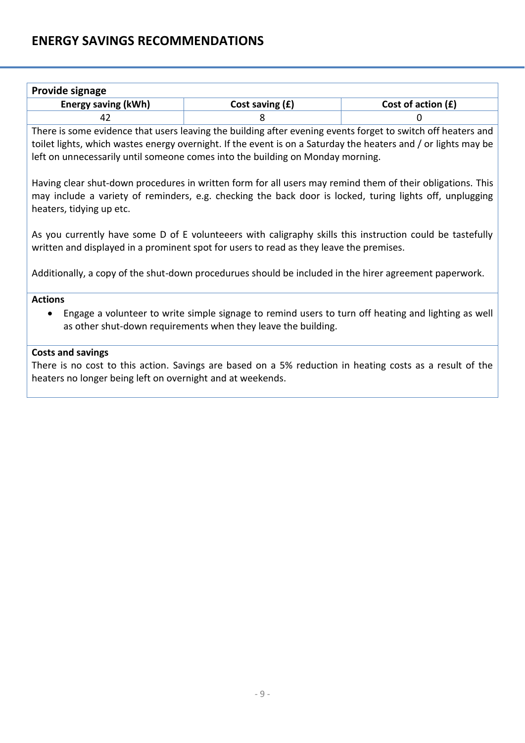| <b>Provide signage</b>     |                   |                      |  |
|----------------------------|-------------------|----------------------|--|
| <b>Energy saving (kWh)</b> | Cost saving $(f)$ | Cost of action $(f)$ |  |
|                            |                   |                      |  |

There is some evidence that users leaving the building after evening events forget to switch off heaters and toilet lights, which wastes energy overnight. If the event is on a Saturday the heaters and / or lights may be left on unnecessarily until someone comes into the building on Monday morning.

Having clear shut-down procedures in written form for all users may remind them of their obligations. This may include a variety of reminders, e.g. checking the back door is locked, turing lights off, unplugging heaters, tidying up etc.

As you currently have some D of E volunteeers with caligraphy skills this instruction could be tastefully written and displayed in a prominent spot for users to read as they leave the premises.

Additionally, a copy of the shut-down procedurues should be included in the hirer agreement paperwork.

## **Actions**

 Engage a volunteer to write simple signage to remind users to turn off heating and lighting as well as other shut-down requirements when they leave the building.

## **Costs and savings**

There is no cost to this action. Savings are based on a 5% reduction in heating costs as a result of the heaters no longer being left on overnight and at weekends.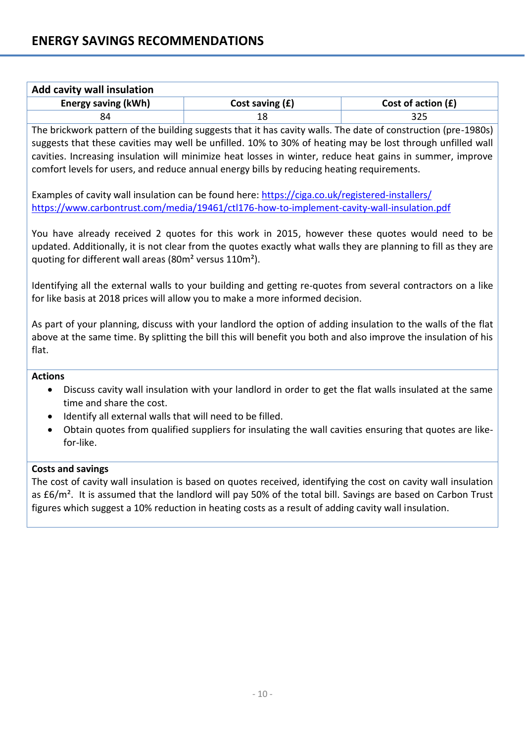| <b>Add cavity wall insulation</b> |                   |                      |  |
|-----------------------------------|-------------------|----------------------|--|
| <b>Energy saving (kWh)</b>        | Cost saving $(f)$ | Cost of action $(f)$ |  |
|                                   |                   | 325                  |  |

The brickwork pattern of the building suggests that it has cavity walls. The date of construction (pre-1980s) suggests that these cavities may well be unfilled. 10% to 30% of heating may be lost through unfilled wall cavities. Increasing insulation will minimize heat losses in winter, reduce heat gains in summer, improve comfort levels for users, and reduce annual energy bills by reducing heating requirements.

Examples of cavity wall insulation can be found here[: https://ciga.co.uk/registered-installers/](https://ciga.co.uk/registered-installers/) <https://www.carbontrust.com/media/19461/ctl176-how-to-implement-cavity-wall-insulation.pdf>

You have already received 2 quotes for this work in 2015, however these quotes would need to be updated. Additionally, it is not clear from the quotes exactly what walls they are planning to fill as they are quoting for different wall areas (80m² versus 110m²).

Identifying all the external walls to your building and getting re-quotes from several contractors on a like for like basis at 2018 prices will allow you to make a more informed decision.

As part of your planning, discuss with your landlord the option of adding insulation to the walls of the flat above at the same time. By splitting the bill this will benefit you both and also improve the insulation of his flat.

## **Actions**

- Discuss cavity wall insulation with your landlord in order to get the flat walls insulated at the same time and share the cost.
- Identify all external walls that will need to be filled.
- Obtain quotes from qualified suppliers for insulating the wall cavities ensuring that quotes are likefor-like.

#### **Costs and savings**

The cost of cavity wall insulation is based on quotes received, identifying the cost on cavity wall insulation as £6/m<sup>2</sup>. It is assumed that the landlord will pay 50% of the total bill. Savings are based on Carbon Trust figures which suggest a 10% reduction in heating costs as a result of adding cavity wall insulation.